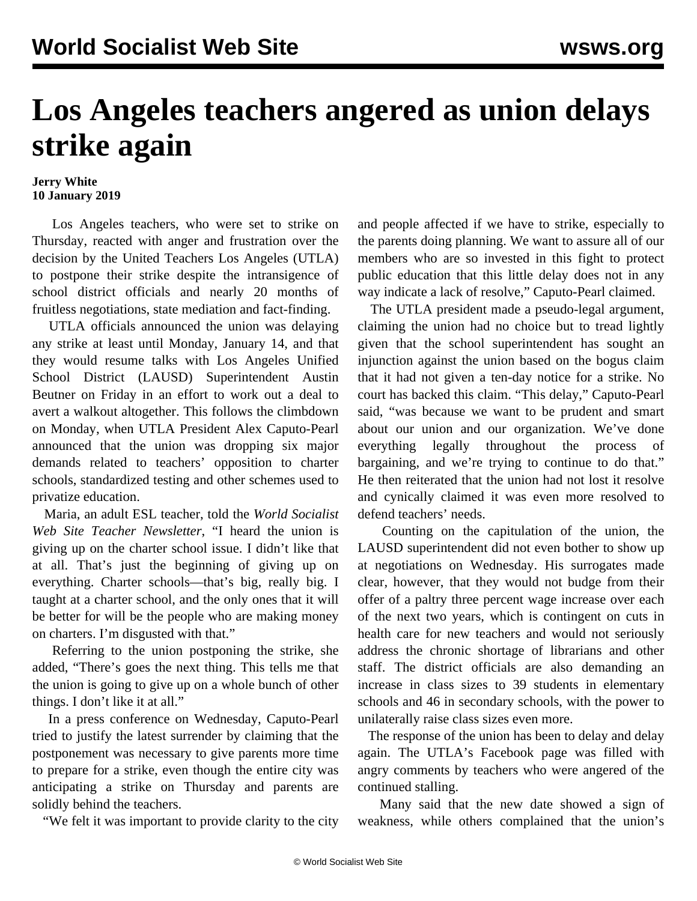## **Los Angeles teachers angered as union delays strike again**

## **Jerry White 10 January 2019**

 Los Angeles teachers, who were set to strike on Thursday, reacted with anger and frustration over the decision by the United Teachers Los Angeles (UTLA) to postpone their strike despite the intransigence of school district officials and nearly 20 months of fruitless negotiations, state mediation and fact-finding.

 UTLA officials announced the union was delaying any strike at least until Monday, January 14, and that they would resume talks with Los Angeles Unified School District (LAUSD) Superintendent Austin Beutner on Friday in an effort to work out a deal to avert a walkout altogether. This follows the climbdown on Monday, when UTLA President Alex Caputo-Pearl announced that the union was dropping six major demands related to teachers' opposition to charter schools, standardized testing and other schemes used to privatize education.

 Maria, an adult ESL teacher, told the *World Socialist Web Site Teacher Newsletter*, "I heard the union is giving up on the charter school issue. I didn't like that at all. That's just the beginning of giving up on everything. Charter schools—that's big, really big. I taught at a charter school, and the only ones that it will be better for will be the people who are making money on charters. I'm disgusted with that."

 Referring to the union postponing the strike, she added, "There's goes the next thing. This tells me that the union is going to give up on a whole bunch of other things. I don't like it at all."

 In a press conference on Wednesday, Caputo-Pearl tried to justify the latest surrender by claiming that the postponement was necessary to give parents more time to prepare for a strike, even though the entire city was anticipating a strike on Thursday and parents are solidly behind the teachers.

"We felt it was important to provide clarity to the city

and people affected if we have to strike, especially to the parents doing planning. We want to assure all of our members who are so invested in this fight to protect public education that this little delay does not in any way indicate a lack of resolve," Caputo-Pearl claimed.

 The UTLA president made a pseudo-legal argument, claiming the union had no choice but to tread lightly given that the school superintendent has sought an injunction against the union based on the bogus claim that it had not given a ten-day notice for a strike. No court has backed this claim. "This delay," Caputo-Pearl said, "was because we want to be prudent and smart about our union and our organization. We've done everything legally throughout the process of bargaining, and we're trying to continue to do that." He then reiterated that the union had not lost it resolve and cynically claimed it was even more resolved to defend teachers' needs.

 Counting on the capitulation of the union, the LAUSD superintendent did not even bother to show up at negotiations on Wednesday. His surrogates made clear, however, that they would not budge from their offer of a paltry three percent wage increase over each of the next two years, which is contingent on cuts in health care for new teachers and would not seriously address the chronic shortage of librarians and other staff. The district officials are also demanding an increase in class sizes to 39 students in elementary schools and 46 in secondary schools, with the power to unilaterally raise class sizes even more.

 The response of the union has been to delay and delay again. The UTLA's Facebook page was filled with angry comments by teachers who were angered of the continued stalling.

 Many said that the new date showed a sign of weakness, while others complained that the union's